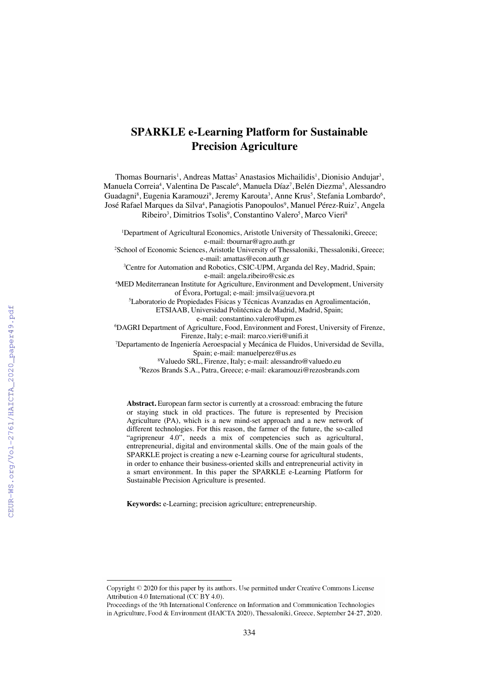# **SPARKLE e-Learning Platform for Sustainable Precision Agriculture**

Thomas Bournaris<sup>1</sup>, Andreas Mattas<sup>2</sup> Anastasios Michailidis<sup>1</sup>, Dionisio Andujar<sup>3</sup>, Manuela Correia<sup>4</sup>, Valentina De Pascale<sup>6</sup>, Manuela Díaz<sup>7</sup>, Belén Diezma<sup>5</sup>, Alessandro Guadagni<sup>8</sup>, Eugenia Karamouzi<sup>9</sup>, Jeremy Karouta<sup>3</sup>, Anne Krus<sup>5</sup>, Stefania Lombardo<sup>6</sup>, José Rafael Marques da Silva<sup>4</sup>, Panagiotis Panopoulos<sup>9</sup>, Manuel Pérez-Ruiz<sup>7</sup>, Angela Ribeiro<sup>3</sup>, Dimitrios Tsolis<sup>9</sup>, Constantino Valero<sup>5</sup>, Marco Vieri<sup>8</sup>

<sup>1</sup>Department of Agricultural Economics, Aristotle University of Thessaloniki, Greece;

e-mail: tbournar@agro.auth.gr<br>2School of Economic Sciences, Aristotle University of Thessaloniki, Thessaloniki, Greece; e-mail: amattas@econ.auth.gr

<sup>3</sup>Centre for Automation and Robotics, CSIC-UPM, Arganda del Rey, Madrid, Spain;

e-mail: angela.ribeiro@csic.es 4 MED Mediterranean Institute for Agriculture, Environment and Development, University of Évora, Portugal; e-mail: jmsilva@uevora.pt

5 Laboratorio de Propiedades Físicas y Técnicas Avanzadas en Agroalimentación,

ETSIAAB, Universidad Politécnica de Madrid, Madrid, Spain;

e-mail: constantino.valero@upm.es

6 DAGRI Department of Agriculture, Food, Environment and Forest, University of Firenze, Firenze, Italy; e-mail: marco.vieri@unifi.it

7 Departamento de Ingeniería Aeroespacial y Mecánica de Fluidos, Universidad de Sevilla, Spain; e-mail: manuelperez@us.es

8 Valuedo SRL, Firenze, Italy; e-mail: alessandro@valuedo.eu 9 Rezos Brands S.A., Patra, Greece; e-mail: ekaramouzi@rezosbrands.com

**Abstract.** European farm sector is currently at a crossroad: embracing the future or staying stuck in old practices. The future is represented by Precision Agriculture (PA), which is a new mind-set approach and a new network of different technologies. For this reason, the farmer of the future, the so-called "agripreneur 4.0", needs a mix of competencies such as agricultural, entrepreneurial, digital and environmental skills. One of the main goals of the SPARKLE project is creating a new e-Learning course for agricultural students, in order to enhance their business-oriented skills and entrepreneurial activity in a smart environment. In this paper the SPARKLE e-Learning Platform for Sustainable Precision Agriculture is presented.

**Keywords:** e-Learning; precision agriculture; entrepreneurship.

Copyright  $\odot$  2020 for this paper by its authors. Use permitted under Creative Commons License Attribution 4.0 International (CC BY 4.0).

Proceedings of the 9th International Conference on Information and Communication Technologies in Agriculture, Food & Environment (HAICTA 2020), Thessaloniki, Greece, September 24-27, 2020.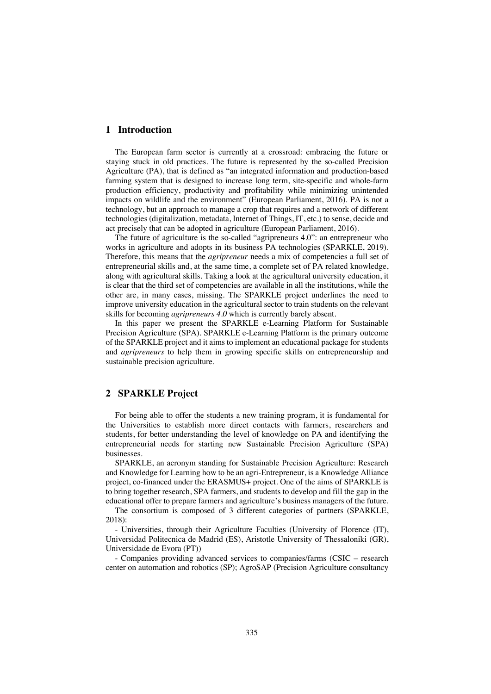## **1 Introduction**

The European farm sector is currently at a crossroad: embracing the future or staying stuck in old practices. The future is represented by the so-called Precision Agriculture (PA), that is defined as "an integrated information and production-based farming system that is designed to increase long term, site-specific and whole-farm production efficiency, productivity and profitability while minimizing unintended impacts on wildlife and the environment" (European Parliament, 2016). PA is not a technology, but an approach to manage a crop that requires and a network of different technologies (digitalization, metadata, Internet of Things, IT, etc.) to sense, decide and act precisely that can be adopted in agriculture (European Parliament, 2016).

The future of agriculture is the so-called "agripreneurs 4.0": an entrepreneur who works in agriculture and adopts in its business PA technologies (SPARKLE, 2019). Therefore, this means that the *agripreneur* needs a mix of competencies a full set of entrepreneurial skills and, at the same time, a complete set of PA related knowledge, along with agricultural skills. Taking a look at the agricultural university education, it is clear that the third set of competencies are available in all the institutions, while the other are, in many cases, missing. The SPARKLE project underlines the need to improve university education in the agricultural sector to train students on the relevant skills for becoming *agripreneurs 4.0* which is currently barely absent.

In this paper we present the SPARKLE e-Learning Platform for Sustainable Precision Agriculture (SPA). SPARKLE e-Learning Platform is the primary outcome of the SPARKLE project and it aims to implement an educational package for students and *agripreneurs* to help them in growing specific skills on entrepreneurship and sustainable precision agriculture.

#### **2 SPARKLE Project**

For being able to offer the students a new training program, it is fundamental for the Universities to establish more direct contacts with farmers, researchers and students, for better understanding the level of knowledge on PA and identifying the entrepreneurial needs for starting new Sustainable Precision Agriculture (SPA) businesses.

SPARKLE, an acronym standing for Sustainable Precision Agriculture: Research and Knowledge for Learning how to be an agri-Entrepreneur, is a Knowledge Alliance project, co-financed under the ERASMUS+ project. One of the aims of SPARKLE is to bring together research, SPA farmers, and students to develop and fill the gap in the educational offer to prepare farmers and agriculture's business managers of the future.

The consortium is composed of 3 different categories of partners (SPARKLE, 2018):

- Universities, through their Agriculture Faculties (University of Florence (IT), Universidad Politecnica de Madrid (ES), Aristotle University of Thessaloniki (GR), Universidade de Evora (PT))

- Companies providing advanced services to companies/farms (CSIC – research center on automation and robotics (SP); AgroSAP (Precision Agriculture consultancy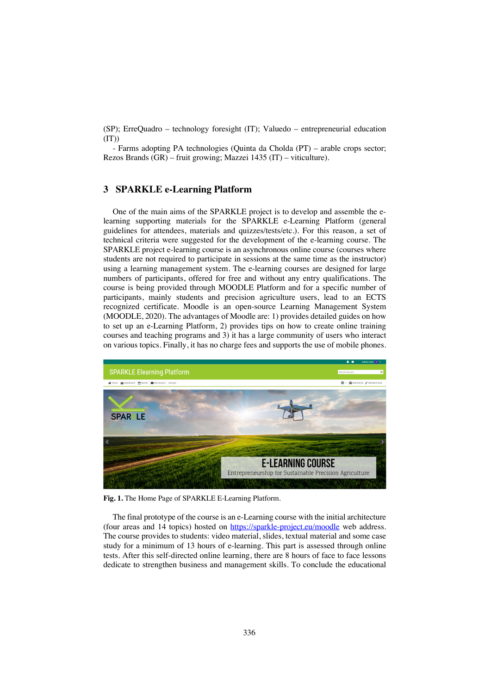(SP); ErreQuadro – technology foresight (IT); Valuedo – entrepreneurial education  $(TT)$ 

- Farms adopting PA technologies (Quinta da Cholda (PT) – arable crops sector; Rezos Brands (GR) – fruit growing; Mazzei 1435 (IT) – viticulture).

#### **3 SPARKLE e-Learning Platform**

One of the main aims of the SPARKLE project is to develop and assemble the elearning supporting materials for the SPARKLE e-Learning Platform (general guidelines for attendees, materials and quizzes/tests/etc.). For this reason, a set of technical criteria were suggested for the development of the e-learning course. The SPARKLE project e-learning course is an asynchronous online course (courses where students are not required to participate in sessions at the same time as the instructor) using a learning management system. The e-learning courses are designed for large numbers of participants, offered for free and without any entry qualifications. The course is being provided through MOODLE Platform and for a specific number of participants, mainly students and precision agriculture users, lead to an ECTS recognized certificate. Moodle is an open-source Learning Management System (MOODLE, 2020). The advantages of Moodle are: 1) provides detailed guides on how to set up an e-Learning Platform, 2) provides tips on how to create online training courses and teaching programs and 3) it has a large community of users who interact on various topics. Finally, it has no charge fees and supports the use of mobile phones.



**Fig. 1.** The Home Page of SPARKLE E-Learning Platform.

The final prototype of the course is an e-Learning course with the initial architecture (four areas and 14 topics) hosted on https://sparkle-project.eu/moodle web address. The course provides to students: video material, slides, textual material and some case study for a minimum of 13 hours of e-learning. This part is assessed through online tests. After this self-directed online learning, there are 8 hours of face to face lessons dedicate to strengthen business and management skills. To conclude the educational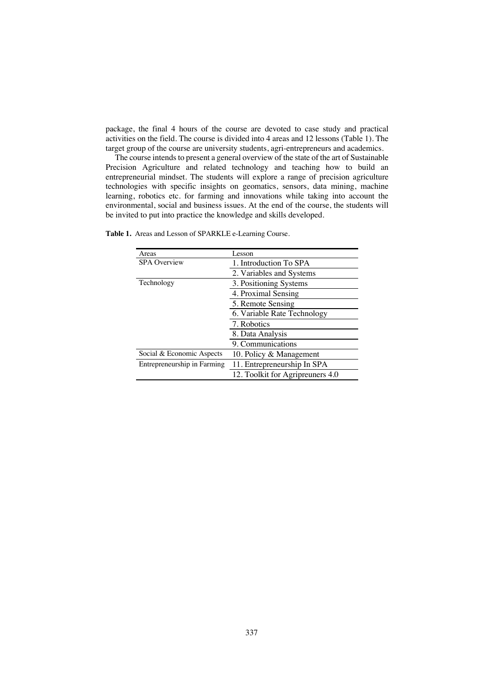package, the final 4 hours of the course are devoted to case study and practical activities on the field. The course is divided into 4 areas and 12 lessons (Table 1). The target group of the course are university students, agri-entrepreneurs and academics.

The course intends to present a general overview of the state of the art of Sustainable Precision Agriculture and related technology and teaching how to build an entrepreneurial mindset. The students will explore a range of precision agriculture technologies with specific insights on geomatics, sensors, data mining, machine learning, robotics etc. for farming and innovations while taking into account the environmental, social and business issues. At the end of the course, the students will be invited to put into practice the knowledge and skills developed.

| Areas                       | Lesson                           |
|-----------------------------|----------------------------------|
| <b>SPA</b> Overview         | 1. Introduction To SPA           |
|                             | 2. Variables and Systems         |
| Technology                  | 3. Positioning Systems           |
|                             | 4. Proximal Sensing              |
|                             | 5. Remote Sensing                |
|                             | 6. Variable Rate Technology      |
|                             | 7. Robotics                      |
|                             | 8. Data Analysis                 |
|                             | 9. Communications                |
| Social & Economic Aspects   | 10. Policy & Management          |
| Entrepreneurship in Farming | 11. Entrepreneurship In SPA      |
|                             | 12. Toolkit for Agripreuners 4.0 |

**Table 1.** Areas and Lesson of SPARKLE e-Learning Course.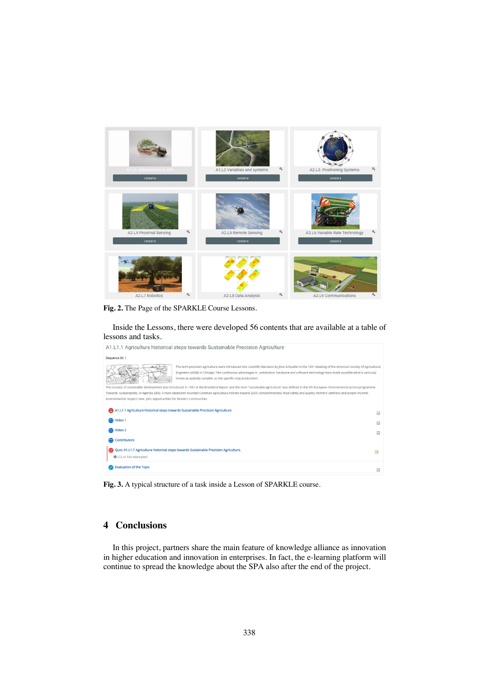

**Fig. 2.** The Page of the SPARKLE Course Lessons.

Inside the Lessons, there were developed 56 contents that are available at a table of lessons and tasks.

| A1.L1.1 Agriculture historical steps towards Sustainable Precision Agriculture                                                                                                                                                                                                                                                                                            |                         |
|---------------------------------------------------------------------------------------------------------------------------------------------------------------------------------------------------------------------------------------------------------------------------------------------------------------------------------------------------------------------------|-------------------------|
| Sequence ID: 1                                                                                                                                                                                                                                                                                                                                                            |                         |
| The term precision agriculture were introduced into scientific literature by Jhon Schueller in the 1991 Meeting of the American Society of Agricultural<br>Engineers (ASAE) in Chicago: "the continuous advantages in automation hardware and software technology have made possible what is variously<br>knows as spatially-variable, or site specific crop production". |                         |
| The concept of sustainable development was introduced in 1987 in the Bruntland Report and the term "sustainable agriculture" was defined in the 5th European Environmental action programme:                                                                                                                                                                              |                         |
| Towards sustainability. In Agenda 2000, 5 main objectives founded Common Agricultura Policies toward 2020: competitiveness; food safety and quality; farmers' wellness and proper income;                                                                                                                                                                                 |                         |
| environmental respect: new jobs opportunities for farmers' communities                                                                                                                                                                                                                                                                                                    |                         |
| A1.L1.1 Agriculture historical steps towards Sustainable Precision Agriculture                                                                                                                                                                                                                                                                                            | $\overline{\mathbf{v}}$ |
| Video 1                                                                                                                                                                                                                                                                                                                                                                   | $\overline{\mathbf{v}}$ |
| Video 2                                                                                                                                                                                                                                                                                                                                                                   | $\overline{\mathbf{v}}$ |
| <b>Contributors</b>                                                                                                                                                                                                                                                                                                                                                       |                         |
| Quiz: A1.L1.1 Agriculture historical steps towards Sustainable Precision Agriculture.<br>272 of 334 Attempted                                                                                                                                                                                                                                                             | Ø                       |
| <b>Evaluation of the Topic</b>                                                                                                                                                                                                                                                                                                                                            | $\overline{\mathbf{v}}$ |

**Fig. 3.** A typical structure of a task inside a Lesson of SPARKLE course.

### **4 Conclusions**

In this project, partners share the main feature of knowledge alliance as innovation in higher education and innovation in enterprises. In fact, the e-learning platform will continue to spread the knowledge about the SPA also after the end of the project.